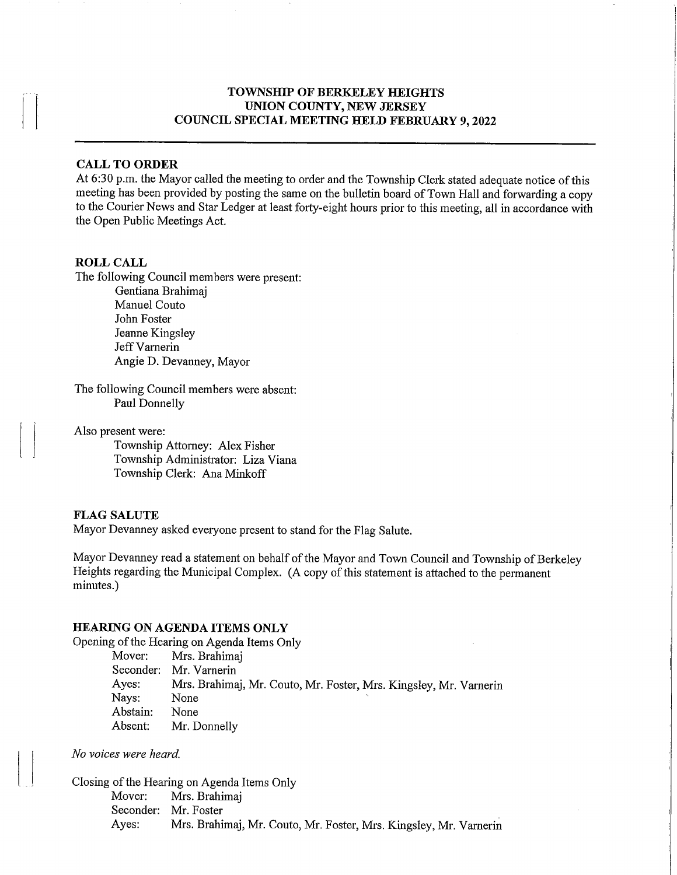## TOWNSHIP OF BERKELEY HEIGHTS UNION COUNTY, NEW JERSEY COUNCIL SPECIAL MEETING HELD FEBRUARY 9,2022

## CALL TO ORDER

At 6:30 p.m. the Mayor called the meeting to order and the Township Clerk stated adequate notice of this meeting has been provided by posting the same on the bulletin board of Town Hall and forwarding a copy to the Courier News and Star Ledger at least forty-eight hours prior to this meeting, all in accordance with the Open Public Meetings Act.

#### ROLL CALL

The following Council members were present:

Gentiana Brahimaj Manuel Couto John Foster Jeanne Kingsley Jeff Varnerin Angie D. Devanney, Mayor

The following Council members were absent: Paul Donnelly

Also present were:

Township Attorney: Alex Fisher Township Administrator: Liza Viana Township Clerk: Ana Minkoff

#### FLAG SALUTE

Mayor Devanney asked everyone present to stand for the Flag Salute.

Mayor Devanney read a statement on behalf of the Mayor and Town Council and Township of Berkeley Heights regarding the Municipal Complex. (A copy of this statement is attached to the permanent minutes.)

#### HEARING ON AGENDA ITEMS ONLY

Opening of the Hearing on Agenda Items Only

Mover: Mrs. Brahimaj<br>Seconder: Mr. Varnerin Seconder: Mr. Varnerin<br>Ayes: Mrs. Brahima Mrs. Brahimaj, Mr. Couto, Mr. Foster, Mrs. Kingsley, Mr. Varnerin None Nays: None<br>Abstain: None Abstain:<br>Absent: Mr. Donnelly

No voices were heard.

Closing of the Hearing on Agenda Items Only<br>Mover: Mrs. Brahimai Mrs. Brahimaj Seconder: Mr. Foster<br>Ayes: Mrs. Brahi Mrs. Brahimaj, Mr. Couto, Mr. Foster, Mrs. Kingsley, Mr. Varnerin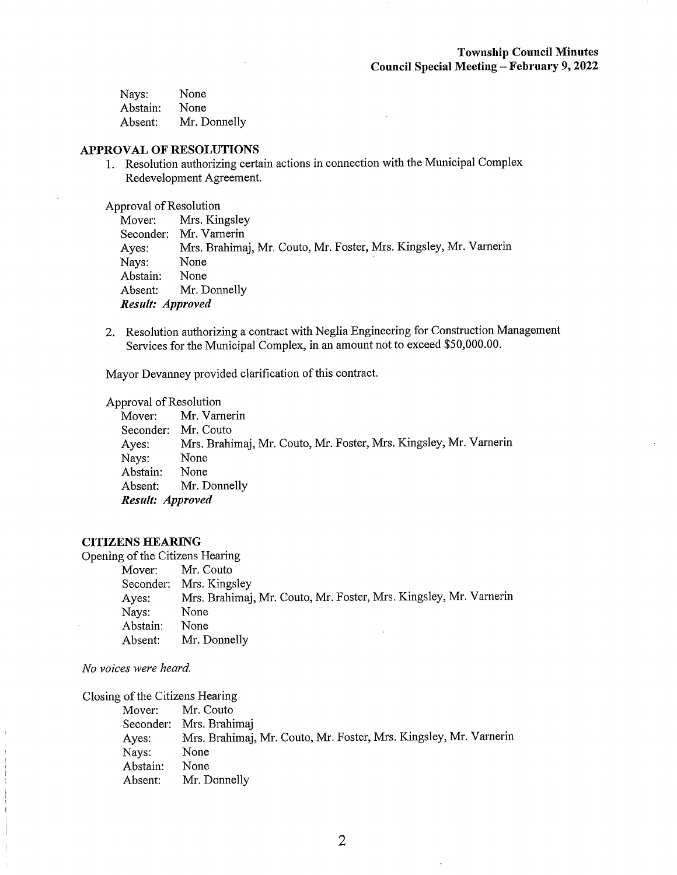| Nays:    | None         |
|----------|--------------|
| Abstain: | None         |
| Absent:  | Mr. Donnelly |

#### APPROVAL OF RESOLUTIONS

1. Resolution authorizing certain actions in connection with the Municipal Complex Redevelopment Agreement.

i,

Approval of Resolution

|                  | Mover: Mrs. Kingsley                                              |
|------------------|-------------------------------------------------------------------|
|                  | Seconder: Mr. Varnerin                                            |
| Ayes:            | Mrs. Brahimaj, Mr. Couto, Mr. Foster, Mrs. Kingsley, Mr. Varnerin |
| Nays:            | None                                                              |
| Abstain:         | None                                                              |
|                  | Absent: Mr. Donnelly                                              |
| Result: Approved |                                                                   |

2. Resolution authorizing a contract with Neglia Engineering for Construction Management Services for the Municipal Complex, in an amount not to exceed \$50,000.00.

Mayor Devanney provided clarification of this contract.

Approval of Resolution<br>Mover: Mr. Varr

Mr. Varnerin Seconder: Mr. Couto Ayes: Mrs. Brahimaj, Mr. Couto, Mr. Foster, Mrs. Kingsley, Mr. Varnerin<br>Navs: None Nays: None<br>Abstain: None Abstain: Absent: Mr. Donnelly Result: Approved

#### CITIZENS HEARING

Opening of the Citizens Hearing

Mover: Mr. Couto<br>Seconder: Mrs. Kings Mrs. Kingsley Ayes: Mrs. Brahimaj, Mr. Couto, Mr. Foster, Mrs. Kingsley, Mr. Varnerin Nays: None<br>Abstain: None Abstain: Absent: Mr. Donnelly

No voices were heard.

Closing of the Citizens Hearing

|          | Mover: Mr. Couto                                                  |
|----------|-------------------------------------------------------------------|
|          | Seconder: Mrs. Brahimaj                                           |
| Ayes:    | Mrs. Brahimaj, Mr. Couto, Mr. Foster, Mrs. Kingsley, Mr. Varnerin |
| Nays:    | None                                                              |
| Abstain: | None                                                              |
| Absent:  | Mr. Donnelly                                                      |
|          |                                                                   |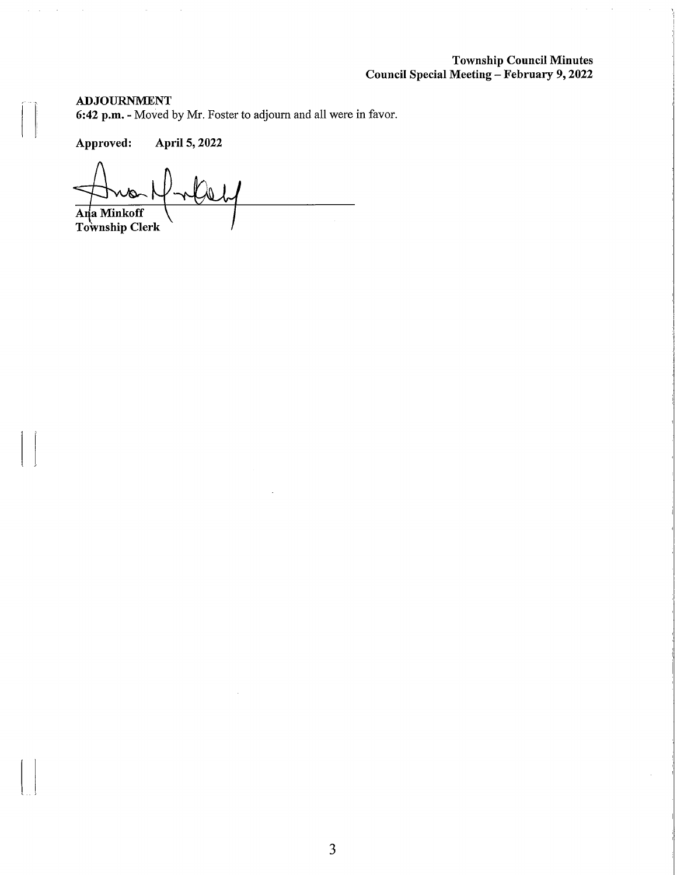## Township Council Minutes Council Special MEeeting - February 9,2022

 $\bar{z}$ 

### ADJOURNMENT

 $\hat{p}$  ,  $\hat{p}$  ,  $\hat{p}$  ,  $\hat{p}$ 

6:42 p.m. - Moved by Mr. Foster to adjourn and all were in favor.

Approved: April 5,2022

 $\hat{\mathcal{A}}$ 

 $\mathcal{L}_{\mathcal{A}}$ 

 $\psi$ . Ana Minkoff Township Clerk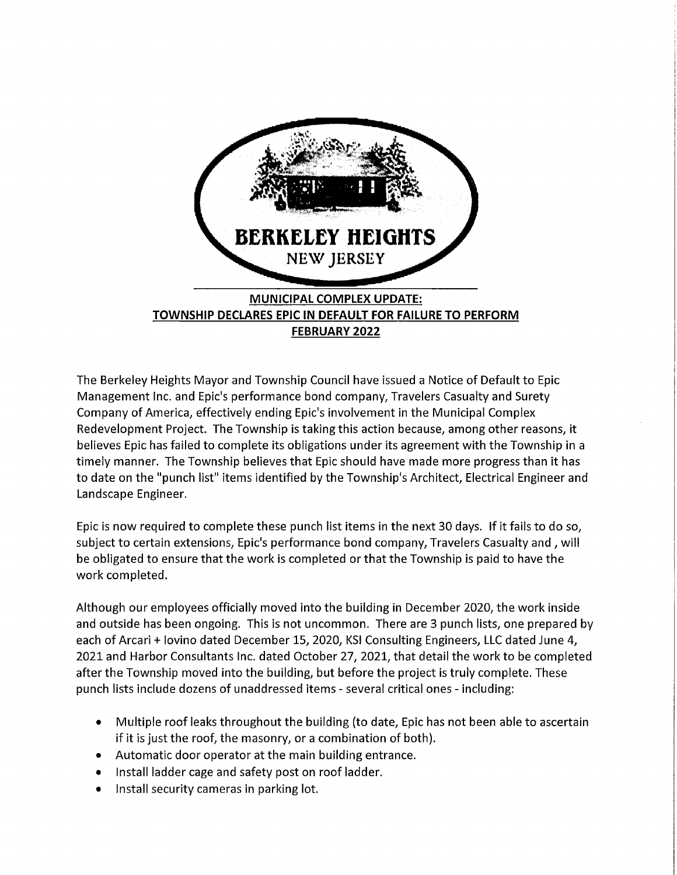

The Berkeley Heights Mayor and Township Council have issued a Notice of Default to Epic Management Inc. and Epic's performance bond company. Travelers Casualty and Surety Company of America, effectively ending Epic's involvement in the Municipal Complex Redevelopment Project. The Township is taking this action because, among other reasons, it believes Epic has failed to complete its obligations under its agreement with the Township in a timely manner. The Township believes that Epic should have made more progress than it has to date on the "punch list" items identified by the Township's Architect, Electrical Engineer and Landscape Engineer.

Epic is now required to complete these punch list items in the next 30 days. If it fails to do so, subject to certain extensions, Epic's performance bond company, Travelers Casualty and, will be obligated to ensure that the work is completed or that the Township is paid to have the work completed.

Although our employees officially moved into the building in December 2020, the work inside and outside has been ongoing. This is not uncommon. There are 3 punch lists, one prepared by each of Arcari + lovino dated December 15, 2020, KSI Consulting Engineers, LLC dated June 4, 2021 and Harbor Consultants Inc. dated October 27, 2021, that detail the work to be completed after the Township moved into the building, but before the project is truly complete. These punch lists include dozens of unaddressed items - several critical ones - including:

- Multiple roof leaks throughout the building (to date, Epic has not been able to ascertain if it is just the roof, the masonry, or a combination of both).
- Automatic door operator at the main building entrance.
- Install ladder cage and safety post on roof ladder.
- Install security cameras in parking lot.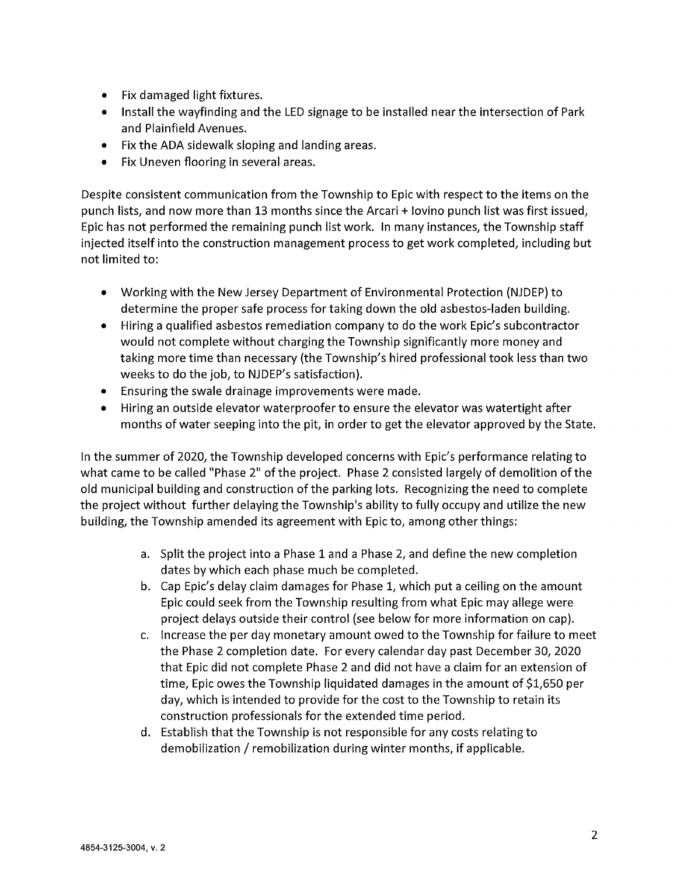- Fix damaged light fixtures.
- Install the wayfinding and the LED signage to be installed near the intersection of Park and Plainfield Avenues.
- Fix the ADA sidewalk sloping and landing areas.
- Fix Uneven flooring in several areas.

Despite consistent communication from the Township to Epic with respect to the items on the punch lists, and now more than 13 months since the Arcari + lovino punch list was first issued, Epic has not performed the remaining punch list work. In many instances, the Township staff injected itself into the construction management process to get work completed, including but not limited to:

- Working with the New Jersey Department of Environmental Protection (NJDEP) to determine the proper safe process for taking down the old asbestos-laden building.
- Hiring a qualified asbestos remediation company to do the work Epic's subcontractor would not complete without charging the Township significantly more money and taking more time than necessary (the Township's hired professional took less than two weeks to do the job, to NJDEP's satisfaction).
- Ensuring the swale drainage improvements were made.
- Hiring an outside elevator waterproofer to ensure the elevator was watertight after months of water seeping into the pit, in order to get the elevator approved by the State.

In the summer of 2020, the Township developed concerns with Epic's performance relating to what came to be called "Phase 2" of the project. Phase 2 consisted largely of demolition of the old municipal building and construction of the parking lots. Recognizing the need to complete the project without further delaying the Township's ability to fully occupy and utilize the new building, the Township amended its agreement with Epic to, among other things:

- a. Split the project into a Phase 1 and a Phase 2, and define the new completion dates by which each phase much be completed.
- b. Cap Epic's delay claim damages for Phase 1, which put a ceiling on the amount Epic could seek from the Township resulting from what Epic may allege were project delays outside their control (see below for more information on cap).
- c. Increase the per day monetary amount owed to the Township for failure to meet the Phase 2 completion date. For every calendar day past December 30, 2020 that Epic did not complete Phase 2 and did not have a claim for an extension of time, Epic owes the Township liquidated damages in the amount of \$1,650 per day, which is intended to provide for the cost to the Township to retain its construction professionals for the extended time period.
- d. Establish that the Township is not responsible for any costs relating to demobilization / remobilization during winter months, if applicable.